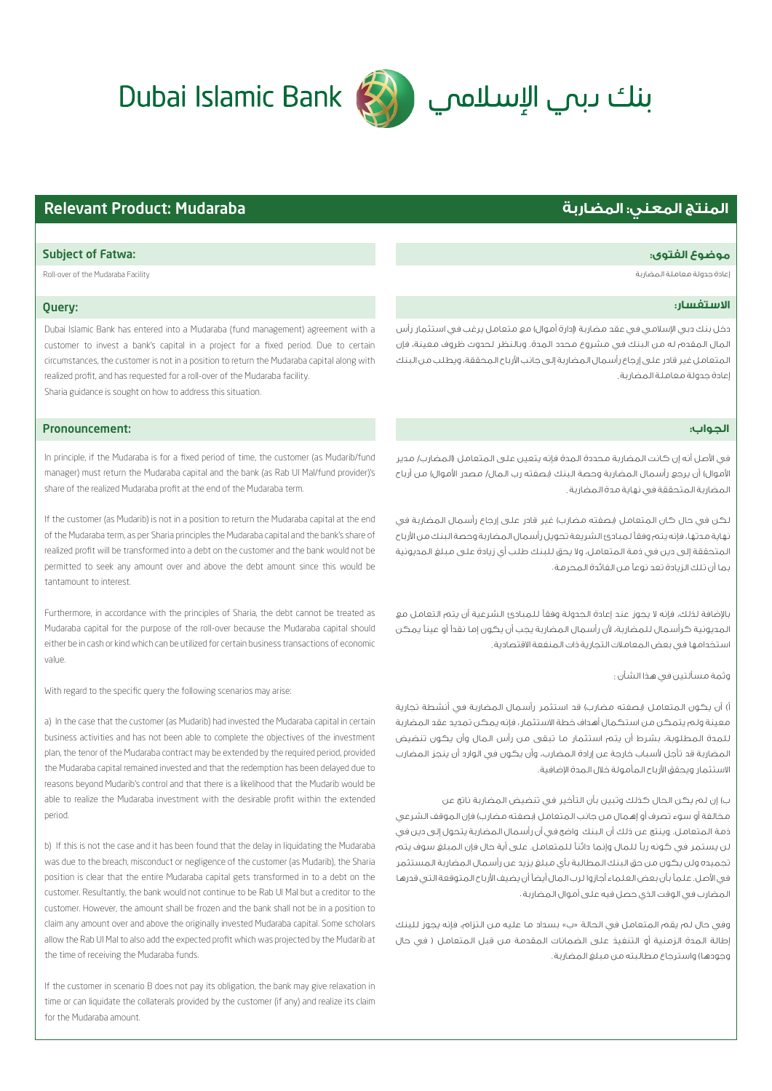# 



## **المنتج المعني: المضاربة** Mudaraba :Product Relevant

#### **الاستفسار:**

دخل بنك دبي اسلامي في عقد مضاربة (إدارة أموال) مع متعامل يرغب في استثمار رأس المال المقدم له من البنك في مشروع محدد المدة. وبالنظر لحدوث ظروف معينة، فإن المتعامل غير قادر على إرجاع رأسمال المضاربة إلى جانب ارباح المحققة، ويطلب من البنك إعادة جدولة معاملة المضاربة .

### **الجواب:ز**

في الأصل أنه إن كانت المضاربة محددة المدة فإنه يتعين على المتعامل (المضارب/ مدير الأموال) أن يرجع رأسمال المضاربة وحصة البنك (بصفته رب المال/ مصدر الأموال) من أرباح المضاربة المتحققة في نهاية مدة المضاربة .

لكن في حال كان المتعامل (بصفته مضارب) غير قادر على إرجاع رأسمال المضاربة في نهاية مدتها، فإنه يتم وفق¦ لمبادئ الشريعة تحويل رأسمال المضاربة وحصة البنك من ارباح المتحققة إلى دين في ذمة المتعامل، ولا يحق للبنك طلب أي زيادة على مبلغ المديونية بما أن تلك الزيادة تعد نوع¦ من الفائدة المحرمة .

باضافة لذلك، فإنه لا يجوز عند إعادة الجدولة وفق¦ للمبادئ الشرعية أن يتم التعامل مع . لمديونية كراسمال للمضاربة، لأن راسمال المضاربة يجب ان يكون إما نقدا او عينا يمكن استخدامها في بعض المعاملات التجارية ذات المنفعة الاقتصادية .

#### وتمة مسالتين في هذا الشان :

أ) أن يكون المتعامل (بصفته مضارب) قد استثمر رأسمال المضاربة في أنشطة تجارية معينة ولم يتمكن من استكمال أهداف خطة الاستثمار، فإنه يمكن تمديد عقد المضاربة للمدة المطلوبة، بشرط أن يتم استثمار ما تبقى من رأس المال وأن يكون تنضيض . المضاربة قد تأجل لأسباب خارجة عن إرادة المضارب، وأن يكون في الوارد أن ينجز المضارب لاستثمار ويحقق الآرباح المامولة خلال المدة الإضافية.

ب) إن لم يكن الحال كذلك وتبين بأن التأخير في تنضيض المضاربة ناتج عن مخالفة أو سوء تصرف أو إهمال من جانب المتعامل (بصفته مضارب) فإن الموقف الشرعي ذمة المتعامل. وينتج عن ذلك أن البنك واضح في أن رأسمال المضاربة يتحول إلى دين في لن يستمر في كونه رب¦ للمال وإنما دائن¦ للمتعامل. على أية حال فإن المبلغ سوف يتم تجميده ولن يكون من حق البنك المطالبة بأي مبلغ يزيد عن رأسمال المضاربة المستثمر في الأصل. علماً بأن بعض العلماء أجازوا لرب المال أيضاً أن يضيف الأرباح المتوقعة التي قدرها المضارب في الوقت الذي حصل فيه على أموال المضاربة .

وفي حال لم يقم المتعامل في الحالة «ب» بسداد ما عليه من التزام، فإنه يجوز للبنك إطالة المدة الزمنية أو التنفيذ على الضمانات المقدمة من قبل المتعامل ( في حال وجودها) واسترجاع مطالبته من مبلغ المضاربة .

### Subject of Fatwa: **:الفتوى موضوع**

Roll-over of the Mudaraba Facility المضاربة معاملة جدولة إعادة

### Query:

Dubai Islamic Bank has entered into a Mudaraba (fund management) agreement with a customer to invest a bank's capital in a project for a fixed period. Due to certain circumstances, the customer is not in a position to return the Mudaraba capital along with realized profit, and has requested for a roll-over of the Mudaraba facility. Sharia guidance is sought on how to address this situation.

#### Pronouncement:

In principle, if the Mudaraba is for a fixed period of time, the customer (as Mudarib/fund manager) must return the Mudaraba capital and the bank (as Rab Ul Mal/fund provider)'s share of the realized Mudaraba profit at the end of the Mudaraba term.

If the customer (as Mudarib) is not in a position to return the Mudaraba capital at the end of the Mudaraba term, as per Sharia principles the Mudaraba capital and the bank's share of realized profit will be transformed into a debt on the customer and the bank would not be permitted to seek any amount over and above the debt amount since this would be tantamount to interest.

Furthermore, in accordance with the principles of Sharia, the debt cannot be treated as Mudaraba capital for the purpose of the roll-over because the Mudaraba capital should either be in cash or kind which can be utilized for certain business transactions of economic value.

With regard to the specific query the following scenarios may arise:

a) In the case that the customer (as Mudarib) had invested the Mudaraba capital in certain business activities and has not been able to complete the objectives of the investment plan, the tenor of the Mudaraba contract may be extended by the required period, provided the Mudaraba capital remained invested and that the redemption has been delayed due to reasons beyond Mudarib's control and that there is a likelihood that the Mudarib would be able to realize the Mudaraba investment with the desirable profit within the extended period.

b) If this is not the case and it has been found that the delay in liquidating the Mudaraba was due to the breach, misconduct or negligence of the customer (as Mudarib), the Sharia position is clear that the entire Mudaraba capital gets transformed in to a debt on the customer. Resultantly, the bank would not continue to be Rab Ul Mal but a creditor to the customer. However, the amount shall be frozen and the bank shall not be in a position to claim any amount over and above the originally invested Mudaraba capital. Some scholars allow the Rab Ul Mal to also add the expected profit which was projected by the Mudarib at the time of receiving the Mudaraba funds.

If the customer in scenario B does not pay its obligation, the bank may give relaxation in time or can liquidate the collaterals provided by the customer (if any) and realize its claim for the Mudaraba amount.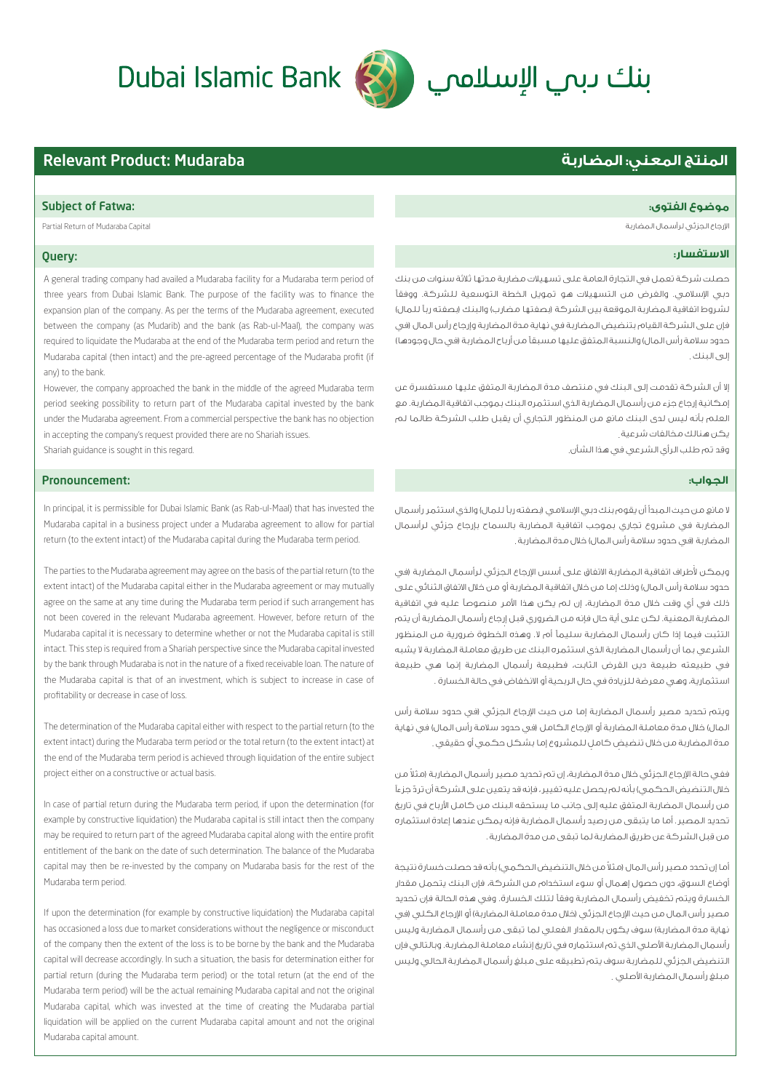# Dubai Islamic Bank (الإسلامي Dubai Islamic Bank

### Subject of Fatwa: **:الفتوى موضوع**

ارجاع الجزئي لرأسمال المضاربة Capital Mudaraba of Return Partial

#### Query:

A general trading company had availed a Mudaraba facility for a Mudaraba term period of three years from Dubai Islamic Bank. The purpose of the facility was to finance the expansion plan of the company. As per the terms of the Mudaraba agreement, executed between the company (as Mudarib) and the bank (as Rab-ul-Maal), the company was required to liquidate the Mudaraba at the end of the Mudaraba term period and return the Mudaraba capital (then intact) and the pre-agreed percentage of the Mudaraba profit (if any) to the bank.

However, the company approached the bank in the middle of the agreed Mudaraba term period seeking possibility to return part of the Mudaraba capital invested by the bank under the Mudaraba agreement. From a commercial perspective the bank has no objection in accepting the company's request provided there are no Shariah issues. Shariah guidance is sought in this regard.

### Pronouncement:

In principal, it is permissible for Dubai Islamic Bank (as Rab-ul-Maal) that has invested the Mudaraba capital in a business project under a Mudaraba agreement to allow for partial return (to the extent intact) of the Mudaraba capital during the Mudaraba term period.

The parties to the Mudaraba agreement may agree on the basis of the partial return (to the extent intact) of the Mudaraba capital either in the Mudaraba agreement or may mutually agree on the same at any time during the Mudaraba term period if such arrangement has not been covered in the relevant Mudaraba agreement. However, before return of the Mudaraba capital it is necessary to determine whether or not the Mudaraba capital is still intact. This step is required from a Shariah perspective since the Mudaraba capital invested by the bank through Mudaraba is not in the nature of a fixed receivable loan. The nature of the Mudaraba capital is that of an investment, which is subject to increase in case of profitability or decrease in case of loss.

The determination of the Mudaraba capital either with respect to the partial return (to the extent intact) during the Mudaraba term period or the total return (to the extent intact) at the end of the Mudaraba term period is achieved through liquidation of the entire subject project either on a constructive or actual basis.

In case of partial return during the Mudaraba term period, if upon the determination (for example by constructive liquidation) the Mudaraba capital is still intact then the company may be required to return part of the agreed Mudaraba capital along with the entire profit entitlement of the bank on the date of such determination. The balance of the Mudaraba capital may then be re-invested by the company on Mudaraba basis for the rest of the Mudaraba term period.

If upon the determination (for example by constructive liquidation) the Mudaraba capital has occasioned a loss due to market considerations without the negligence or misconduct of the company then the extent of the loss is to be borne by the bank and the Mudaraba capital will decrease accordingly. In such a situation, the basis for determination either for partial return (during the Mudaraba term period) or the total return (at the end of the Mudaraba term period) will be the actual remaining Mudaraba capital and not the original Mudaraba capital, which was invested at the time of creating the Mudaraba partial liquidation will be applied on the current Mudaraba capital amount and not the original Mudaraba capital amount.

## **المنتج المعني: المضاربة** Mudaraba :Product Relevant

#### **الاستفسار:**

حصلت شركة تعمل في التجارة العامة على تسهيلات مضاربة مدتها ثلاثة سنوات من بنك دبي اسلامي. والغرض من التسهيلات هو تمويل الخطة التوسعية للشركة. ووفق¦ لشروط اتفاقية المضاربة الموقعة بين الشركة (بصفتها مضارب) والبنك (بصفته رب¦ للمال) فإن على الشركة القيام بتنضيض المضاربة في نهاية مدة المضاربة وإرجاع رأس المال (في حدود سلامة رأس المال) والنسبة المتفق عليها مسبق¦ من أرباح المضاربة (في حال وجودها) لى البنك .

إلا أن الشركة تقدمت إلى البنك في منتصف مدة المضاربة المتفق عليها مستفسرة عن إمكانية إرجاع جزء من رأسمال المضاربة الذي استثمره البنك بموجب اتفاقية المضاربة. مع العلم بأنه ليس لدى البنك مانع من المنظور التجاري أن يقبل طلب الشركة طالما لم يكن هنالك مخالفات شرعية .

وقد تم طلب الراي الشرعي في هذا الشان.

### **الجواب:ز**

لا مانع من حيث المبدأ أن يقوم بنك دبي اسلامي (بصفته رب¦ للمال) والذي استثمر رأسمال المضاربة في مشروع تجاري بموجب اتفاقية المضاربة بالسماح بإرجاع جزئي لرأسمال لمضاربة (في حدود سلامة راس المال) خلال مدة المضاربة .

.<br>ويمكن لأطراف اتفاقية المضاربة الاتفاق على أسس الإرجاع الجزئى لرأسمال المضاربة (في حدود سلامة رأس المال) وذلك إما من خلال اتفاقية المضاربة أو من خلال الاتفاق الثنائي على ذلك في أي وقت خلال مدة المضاربة، إن لم يكن هذا امر منصوص¦ عليه في اتفاقية لمضاربة المعنية. لكن على اية حال فإنه من الضروري قبل إرجاع راسمال المضاربة ان يتم،<br>. التثبت فيما إذا كان رأسمال المضاربة سليم¦ أم لا. وهذه الخطوة ضرورية من المنظور الشرعي بما أن رأسمال المضاربة الذي استثمره البنك عن طريق معاملة المضاربة لا يشبه في طبيعته طبيعة دين القرض الثابت، فطبيعة رأسمال المضاربة إنما هي طبيعة ستثمارية، وهي معرضة للزيادة في حال الربحية او الانخفاض في حالة الخسارة .

ويتم تحديد مصير رأسمال المضاربة إما من حيث الإرجاع الجزئي (في حدود سلامة رأس المال) خلال مدة معاملة المضاربة أو ارجاع الكامل (في حدود سلامة رأس المال) في نهاية عدة المضاربة من خلال تنضيض كامل للمشروع إما بشكل حكمي أو حقيقي .

ففي حالة الإرجاع الجزئي خلال مدة المضاربة، إن تم تحديد مصير رأسمال المضاربة (مثلا من خلال التنضيض الحكمي) بأنه لم يحصل عليه تغيير ، فإنه قد يتعين على الشركة أن تردّ جزءاً من رأسمال المضاربة المتفق عليه إلى جانب ما يستحقه البنك من كامل ارباح في تاريخ تحديد المصير. أما ما يتبقى من رصيد رأسمال المضاربة فإنه يمكن عندها إعادة استثماره من قبل الشركة عن طريق المضاربة لما تبقى من مدة المضاربة .

ما إن تحدد مصير رأس المال (مثلا من خلال التنضيض الحكمى) بأنه قد حصلت خسارة نتيجة أوضاع السوق، دون حصول إهمال أو سوء استخدام من الشركة، فإن البنك يتحمل مقدار الخسارة ويتم تخفيض رأسمال المضاربة وفق¦ لتلك الخسارة. وفي هذه الحالة فإن تحديد مصير رأس المال من حيث الإرجاع الجزئي (خلال مدة معاملة المضاربة) أو الإرجاع الكلي (في نهاية مدة المضاربة) سوف يكون بالمقدار الفعلي لما تبقى من رأسمال المضاربة وليس رأسمال المضاربة اصلي الذي تم استثماره في تاريخ إنشاء معاملة المضاربة. وبالتالي فإن التنضيض الجزئي للمضاربة سوف يتم تطبيقه على مبلغ رأسمال المضاربة الحالي وليس عبلغ راسمال المضاربة الأصلي .